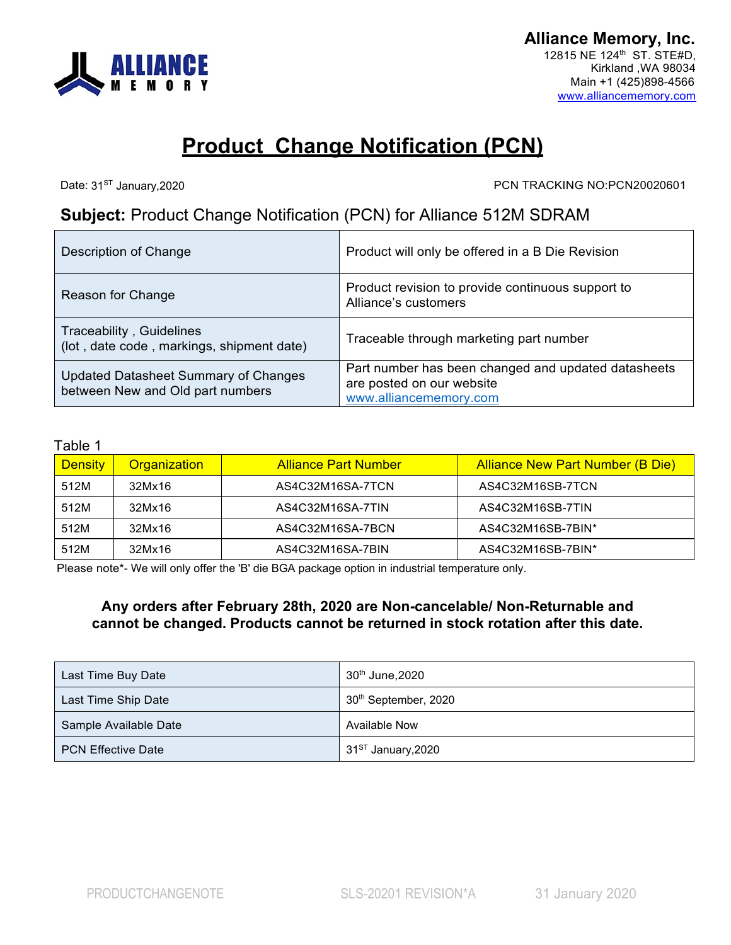

## **Product Change Notification (PCN)**

Date: 31<sup>ST</sup> January, 2020

PCN TRACKING NO:PCN20020601

## **Subject:** Product Change Notification (PCN) for Alliance 512M SDRAM

| Description of Change                                                    | Product will only be offered in a B Die Revision                                                           |
|--------------------------------------------------------------------------|------------------------------------------------------------------------------------------------------------|
| Reason for Change                                                        | Product revision to provide continuous support to<br>Alliance's customers                                  |
| Traceability, Guidelines<br>(lot, date code, markings, shipment date)    | Traceable through marketing part number                                                                    |
| Updated Datasheet Summary of Changes<br>between New and Old part numbers | Part number has been changed and updated datasheets<br>are posted on our website<br>www.alliancememory.com |

## Table 1

| <b>Density</b> | <b>Organization</b> | <b>Alliance Part Number</b> | <b>Alliance New Part Number (B Die)</b> |
|----------------|---------------------|-----------------------------|-----------------------------------------|
| 512M           | 32Mx16              | AS4C32M16SA-7TCN            | AS4C32M16SB-7TCN                        |
| 512M           | 32Mx16              | AS4C32M16SA-7TIN            | AS4C32M16SB-7TIN                        |
| 512M           | 32Mx16              | AS4C32M16SA-7BCN            | AS4C32M16SB-7BIN*                       |
| 512M           | 32Mx16              | AS4C32M16SA-7BIN            | AS4C32M16SB-7BIN*                       |

Please note\*- We will only offer the 'B' die BGA package option in industrial temperature only.

## **Any orders after February 28th, 2020 are Non-cancelable/ Non-Returnable and cannot be changed. Products cannot be returned in stock rotation after this date.**

| Last Time Buy Date        | 30 <sup>th</sup> June, 2020      |
|---------------------------|----------------------------------|
| Last Time Ship Date       | 30 <sup>th</sup> September, 2020 |
| Sample Available Date     | Available Now                    |
| <b>PCN Effective Date</b> | 31 <sup>ST</sup> January, 2020   |